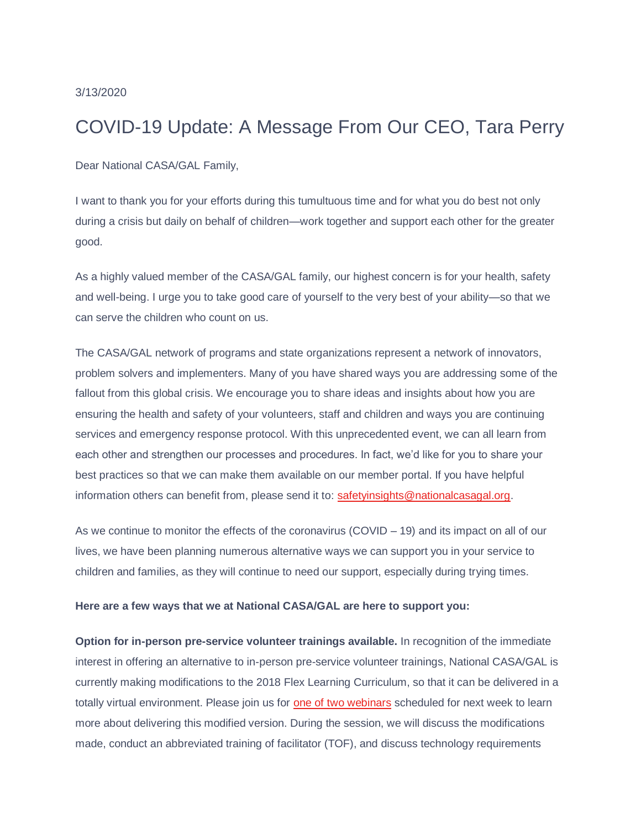# 3/13/2020

# COVID-19 Update: A Message From Our CEO, Tara Perry

Dear National CASA/GAL Family,

I want to thank you for your efforts during this tumultuous time and for what you do best not only during a crisis but daily on behalf of children—work together and support each other for the greater good.

As a highly valued member of the CASA/GAL family, our highest concern is for your health, safety and well-being. I urge you to take good care of yourself to the very best of your ability—so that we can serve the children who count on us.

The CASA/GAL network of programs and state organizations represent a network of innovators, problem solvers and implementers. Many of you have shared ways you are addressing some of the fallout from this global crisis. We encourage you to share ideas and insights about how you are ensuring the health and safety of your volunteers, staff and children and ways you are continuing services and emergency response protocol. With this unprecedented event, we can all learn from each other and strengthen our processes and procedures. In fact, we'd like for you to share your best practices so that we can make them available on our member portal. If you have helpful information others can benefit from, please send it to: [safetyinsights@nationalcasagal.org.](mailto:safetyinsights@nationalcasagal.org)

As we continue to monitor the effects of the coronavirus  $(COVID - 19)$  and its impact on all of our lives, we have been planning numerous alternative ways we can support you in your service to children and families, as they will continue to need our support, especially during trying times.

## **Here are a few ways that we at National CASA/GAL are here to support you:**

**Option for in-person pre-service volunteer trainings available.** In recognition of the immediate interest in offering an alternative to in-person pre-service volunteer trainings, National CASA/GAL is currently making modifications to the 2018 Flex Learning Curriculum, so that it can be delivered in a totally virtual environment. Please join us for [one of two webinars](https://member.nationalcasagal.org/events/) scheduled for next week to learn more about delivering this modified version. During the session, we will discuss the modifications made, conduct an abbreviated training of facilitator (TOF), and discuss technology requirements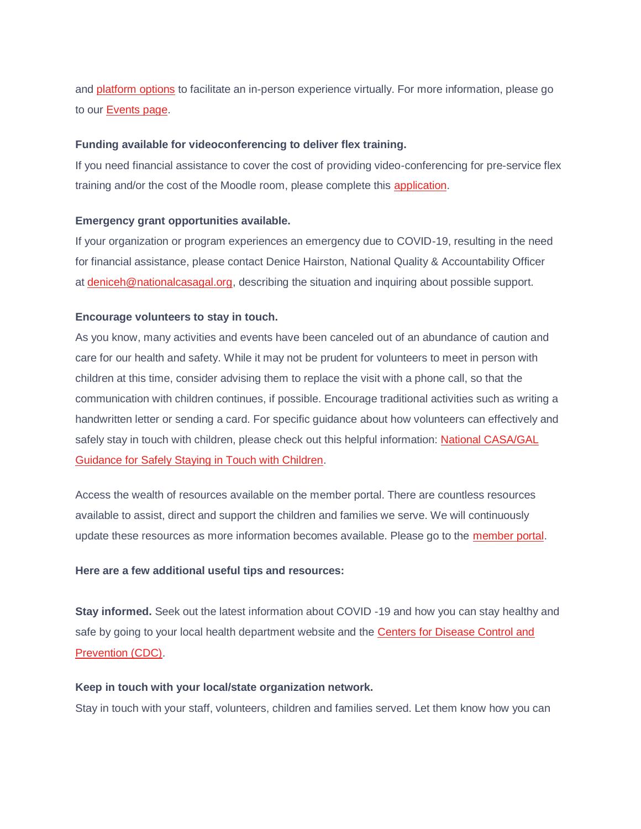and [platform options](https://member.nationalcasagal.org/covid-19-emergency-planning-resources/) to facilitate an in-person experience virtually. For more information, please go to our [Events page.](https://member.nationalcasagal.org/events/)

## **Funding available for videoconferencing to deliver flex training.**

If you need financial assistance to cover the cost of providing video-conferencing for pre-service flex training and/or the cost of the Moodle room, please complete this [application.](https://nationalcasa.formstack.com/forms/flexlearning_support)

## **Emergency grant opportunities available.**

If your organization or program experiences an emergency due to COVID-19, resulting in the need for financial assistance, please contact Denice Hairston, National Quality & Accountability Officer at [deniceh@nationalcasagal.org,](mailto:deniceh@nationalcasagal.org) describing the situation and inquiring about possible support.

## **Encourage volunteers to stay in touch.**

As you know, many activities and events have been canceled out of an abundance of caution and care for our health and safety. While it may not be prudent for volunteers to meet in person with children at this time, consider advising them to replace the visit with a phone call, so that the communication with children continues, if possible. Encourage traditional activities such as writing a handwritten letter or sending a card. For specific guidance about how volunteers can effectively and safely stay in touch with children, please check out this helpful information: [National CASA/GAL](https://member.nationalcasagal.org/wp-content/uploads/2020/03/Guidance-for-Volunteers.pdf)  [Guidance for Safely Staying in Touch with Children.](https://member.nationalcasagal.org/wp-content/uploads/2020/03/Guidance-for-Volunteers.pdf)

Access the wealth of resources available on the member portal. There are countless resources available to assist, direct and support the children and families we serve. We will continuously update these resources as more information becomes available. Please go to the [member portal.](https://member.nationalcasagal.org/covid-19-emergency-planning-resources/)

#### **Here are a few additional useful tips and resources:**

**Stay informed.** Seek out the latest information about COVID -19 and how you can stay healthy and safe by going to your local health department website and the Centers for Disease Control and [Prevention \(CDC\).](https://www.cdc.gov/coronavirus/2019-ncov/index.html)

## **Keep in touch with your local/state organization network.**

Stay in touch with your staff, volunteers, children and families served. Let them know how you can